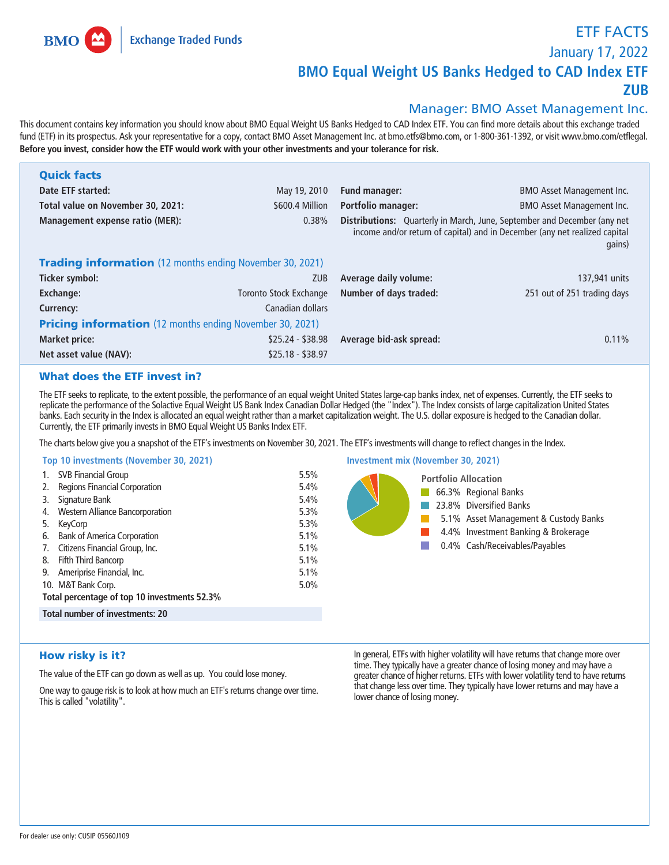**Exchange Traded Funds** 

**BMO** 

**ETF FACTS**

**January 17, 2022**

## **BMO Equal Weight US Banks Hedged to CAD Index ETF**

**ZUB**

## **Manager: BMO Asset Management Inc.**

**This document contains key information you should know about BMO Equal Weight US Banks Hedged to CAD Index ETF. You can find more details about this exchange traded fund (ETF) in its prospectus. Ask your representative for a copy, contact BMO Asset Management Inc. at bmo.etfs@bmo.com, or 1-800-361-1392, or visit www.bmo.com/etflegal. Before you invest, consider how the ETF would work with your other investments and your tolerance for risk.**

| <b>Quick facts</b>                                              |                               |                           |                                                                                                                                                                         |
|-----------------------------------------------------------------|-------------------------------|---------------------------|-------------------------------------------------------------------------------------------------------------------------------------------------------------------------|
| Date ETF started:                                               | May 19, 2010                  | Fund manager:             | <b>BMO Asset Management Inc.</b>                                                                                                                                        |
| Total value on November 30, 2021:                               | \$600.4 Million               | <b>Portfolio manager:</b> | <b>BMO Asset Management Inc.</b>                                                                                                                                        |
| <b>Management expense ratio (MER):</b>                          | 0.38%                         |                           | <b>Distributions:</b> Quarterly in March, June, September and December (any net<br>income and/or return of capital) and in December (any net realized capital<br>gains) |
| <b>Trading information</b> (12 months ending November 30, 2021) |                               |                           |                                                                                                                                                                         |
| Ticker symbol:                                                  | <b>ZUB</b>                    | Average daily volume:     | 137,941 units                                                                                                                                                           |
| <b>Exchange:</b>                                                | <b>Toronto Stock Exchange</b> | Number of days traded:    | 251 out of 251 trading days                                                                                                                                             |
| Currency:                                                       | Canadian dollars              |                           |                                                                                                                                                                         |
| <b>Pricing information</b> (12 months ending November 30, 2021) |                               |                           |                                                                                                                                                                         |
| <b>Market price:</b>                                            | $$25.24 - $38.98$             | Average bid-ask spread:   | 0.11%                                                                                                                                                                   |
| Net asset value (NAV):                                          | $$25.18 - $38.97$             |                           |                                                                                                                                                                         |

## What does the ETF invest in?

**The ETF seeks to replicate, to the extent possible, the performance of an equal weight United States large-cap banks index, net of expenses. Currently, the ETF seeks to replicate the performance of the Solactive Equal Weight US Bank Index Canadian Dollar Hedged (the "Index"). The Index consists of large capitalization United States banks. Each security in the Index is allocated an equal weight rather than a market capitalization weight. The U.S. dollar exposure is hedged to the Canadian dollar. Currently, the ETF primarily invests in BMO Equal Weight US Banks Index ETF.**

**The charts below give you a snapshot of the ETF's investments on November 30, 2021. The ETF's investments will change to reflect changes in the Index.**

## **Top 10 investments (November 30, 2021)**

| Top 10 investments (November 30, 2021)                                                                                                                                                                                                                                                                                                                       |                                                                              | <b>Investment mix (November 30, 2021)</b>                                                                                                                                                        |
|--------------------------------------------------------------------------------------------------------------------------------------------------------------------------------------------------------------------------------------------------------------------------------------------------------------------------------------------------------------|------------------------------------------------------------------------------|--------------------------------------------------------------------------------------------------------------------------------------------------------------------------------------------------|
| <b>SVB Financial Group</b><br>Regions Financial Corporation<br>Signature Bank<br>3.<br>Western Alliance Bancorporation<br>4.<br>KeyCorp<br><b>Bank of America Corporation</b><br>6.<br>Citizens Financial Group, Inc.<br>Fifth Third Bancorp<br>8.<br>Ameriprise Financial, Inc.<br>9.<br>10. M&T Bank Corp.<br>Total percentage of top 10 investments 52.3% | 5.5%<br>5.4%<br>5.4%<br>5.3%<br>5.3%<br>5.1%<br>5.1%<br>5.1%<br>5.1%<br>5.0% | <b>Portfolio Allocation</b><br>66.3% Regional Banks<br>23.8% Diversified Banks<br>5.1% Asset Management & Custody Banks<br>4.4% Investment Banking & Brokerage<br>0.4% Cash/Receivables/Payables |
| Total number of investments: 20                                                                                                                                                                                                                                                                                                                              |                                                                              |                                                                                                                                                                                                  |

## How risky is it?

**The value of the ETF can go down as well as up. You could lose money.**

**One way to gauge risk is to look at how much an ETF's returns change over time. This is called "volatility".**

**In general, ETFs with higher volatility will have returns that change more over time. They typically have a greater chance of losing money and may have a greater chance of higher returns. ETFs with lower volatility tend to have returns that change less over time. They typically have lower returns and may have a lower chance of losing money.**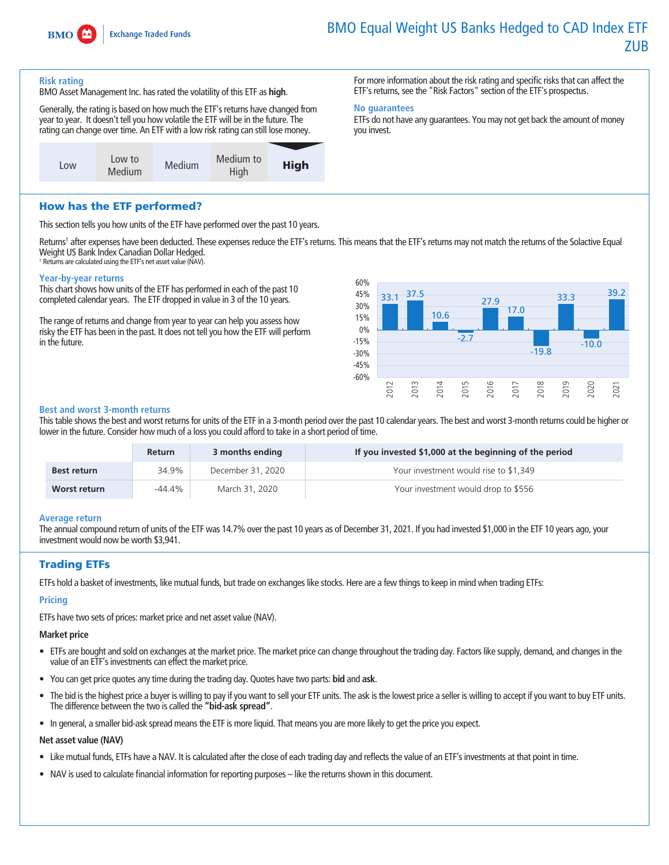

# **BMO Equal Weight US Banks Hedged to CAD Index ETF ZUB**

### **Risk rating**

**BMO Asset Management Inc. has rated the volatility of this ETF as high.**

**Generally, the rating is based on how much the ETF's returns have changed from year to year. It doesn't tell you how volatile the ETF will be in the future. The rating can change over time. An ETF with a low risk rating can still lose money.**



**For more information about the risk rating and specific risks that can affect the ETF's returns, see the "Risk Factors" section of the ETF's prospectus.**

## **No guarantees**

**ETFs do not have any guarantees. You may not get back the amount of money you invest.**

## How has the ETF performed?

**This section tells you how units of the ETF have performed over the past 10 years.**

**Returns<sup>1</sup> after expenses have been deducted. These expenses reduce the ETF's returns. This means that the ETF's returns may not match the returns of the Solactive Equal Weight US Bank Index Canadian Dollar Hedged.**

**<sup>1</sup> Returns are calculated using the ETF's net asset value (NAV).**

### **Year-by-year returns**

**This chart shows how units of the ETF has performed in each of the past 10 completed calendar years. The ETF dropped in value in 3 of the 10 years.**

**The range of returns and change from year to year can help you assess how risky the ETF has been in the past. It does not tell you how the ETF will perform in the future.**



### **Best and worst 3-month returns**

**This table shows the best and worst returns for units of the ETF in a 3-month period over the past 10 calendar years. The best and worst 3-month returns could be higher or lower in the future. Consider how much of a loss you could afford to take in a short period of time.**

|                    | <b>Return</b> | 3 months ending   | If you invested \$1,000 at the beginning of the period |
|--------------------|---------------|-------------------|--------------------------------------------------------|
| <b>Best return</b> | 34.9%         | December 31, 2020 | Your investment would rise to \$1,349                  |
| Worst return       | -44.4%        | March 31, 2020    | Your investment would drop to \$556                    |

### **Average return**

**The annual compound return of units of the ETF was 14.7% over the past 10 years as of December 31, 2021. If you had invested \$1,000 in the ETF 10 years ago, your investment would now be worth \$3,941.**

## Trading ETFs

**ETFs hold a basket of investments, like mutual funds, but trade on exchanges like stocks. Here are a few things to keep in mind when trading ETFs:**

## **Pricing**

**ETFs have two sets of prices: market price and net asset value (NAV).**

### **Market price**

- **• ETFs are bought and sold on exchanges at the market price. The market price can change throughout the trading day. Factors like supply, demand, and changes in the value of an ETF's investments can effect the market price.**
- **• You can get price quotes any time during the trading day. Quotes have two parts: bid and ask.**
- **• The bid is the highest price a buyer is willing to pay if you want to sell your ETF units. The ask is the lowest price a seller is willing to accept if you want to buy ETF units. The difference between the two is called the "bid-ask spread".**
- **• In general, a smaller bid-ask spread means the ETF is more liquid. That means you are more likely to get the price you expect.**

### **Net asset value (NAV)**

- **• Like mutual funds, ETFs have a NAV. It is calculated after the close of each trading day and reflects the value of an ETF's investments at that point in time.**
- **• NAV is used to calculate financial information for reporting purposes like the returns shown in this document.**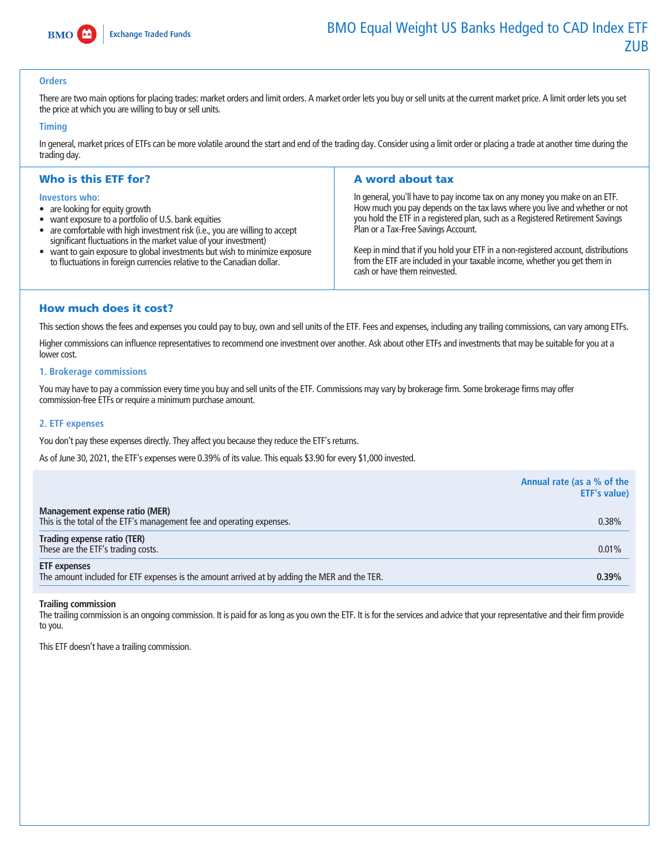

### **Orders**

There are two main options for placing trades: market orders and limit orders. A market order lets you buy or sell units at the current market price. A limit order lets you set **the price at which you are willing to buy or sell units.**

#### **Timing**

**In general, market prices of ETFs can be more volatile around the start and end of the trading day. Consider using a limit order or placing a trade at another time during the trading day.**

## Who is this ETF for?

#### **Investors who:**

- **• are looking for equity growth**
- **• want exposure to a portfolio of U.S. bank equities**
- **• are comfortable with high investment risk (i.e., you are willing to accept significant fluctuations in the market value of your investment)**
- **• want to gain exposure to global investments but wish to minimize exposure to fluctuations in foreign currencies relative to the Canadian dollar.**

## A word about tax

**In general, you'll have to pay income tax on any money you make on an ETF. How much you pay depends on the tax laws where you live and whether or not you hold the ETF in a registered plan, such as a Registered Retirement Savings Plan or a Tax-Free Savings Account.**

**Keep in mind that if you hold your ETF in a non-registered account, distributions from the ETF are included in your taxable income, whether you get them in cash or have them reinvested.**

## How much does it cost?

**This section shows the fees and expenses you could pay to buy, own and sell units of the ETF. Fees and expenses, including any trailing commissions, can vary among ETFs.**

**Higher commissions can influence representatives to recommend one investment over another. Ask about other ETFs and investments that may be suitable for you at a**  lower cost.

#### **1. Brokerage commissions**

**You may have to pay a commission every time you buy and sell units of the ETF. Commissions may vary by brokerage firm. Some brokerage firms may offer commission-free ETFs or require a minimum purchase amount.**

### **2. ETF expenses**

**You don't pay these expenses directly. They affect you because they reduce the ETF's returns.**

**As of June 30, 2021, the ETF's expenses were 0.39% of its value. This equals \$3.90 for every \$1,000 invested.**

|                                                                                                                     | Annual rate (as a % of the<br><b>ETF's value)</b> |
|---------------------------------------------------------------------------------------------------------------------|---------------------------------------------------|
| Management expense ratio (MER)<br>This is the total of the ETF's management fee and operating expenses.             | 0.38%                                             |
| Trading expense ratio (TER)<br>These are the ETF's trading costs.                                                   | 0.01%                                             |
| <b>ETF</b> expenses<br>The amount included for ETF expenses is the amount arrived at by adding the MER and the TER. | 0.39%                                             |

#### **Trailing commission**

**The trailing commission is an ongoing commission. It is paid for as long as you own the ETF. It is for the services and advice that your representative and their firm provide to you.**

**This ETF doesn't have a trailing commission.**